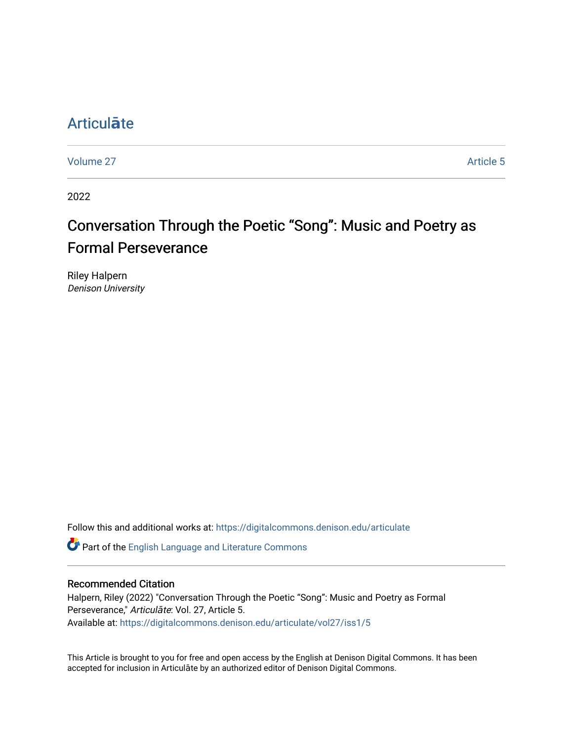## [Articul](https://digitalcommons.denison.edu/articulate)**ā**te

[Volume 27](https://digitalcommons.denison.edu/articulate/vol27) Article 5

2022

# Conversation Through the Poetic "Song": Music and Poetry as **Formal Perseverance**

Riley Halpern Denison University

Follow this and additional works at: [https://digitalcommons.denison.edu/articulate](https://digitalcommons.denison.edu/articulate?utm_source=digitalcommons.denison.edu%2Farticulate%2Fvol27%2Fiss1%2F5&utm_medium=PDF&utm_campaign=PDFCoverPages)

Part of the [English Language and Literature Commons](https://network.bepress.com/hgg/discipline/455?utm_source=digitalcommons.denison.edu%2Farticulate%2Fvol27%2Fiss1%2F5&utm_medium=PDF&utm_campaign=PDFCoverPages)

#### Recommended Citation

Halpern, Riley (2022) "Conversation Through the Poetic "Song": Music and Poetry as Formal Perseverance," Articulāte: Vol. 27, Article 5. Available at: [https://digitalcommons.denison.edu/articulate/vol27/iss1/5](https://digitalcommons.denison.edu/articulate/vol27/iss1/5?utm_source=digitalcommons.denison.edu%2Farticulate%2Fvol27%2Fiss1%2F5&utm_medium=PDF&utm_campaign=PDFCoverPages)

This Article is brought to you for free and open access by the English at Denison Digital Commons. It has been accepted for inclusion in Articulāte by an authorized editor of Denison Digital Commons.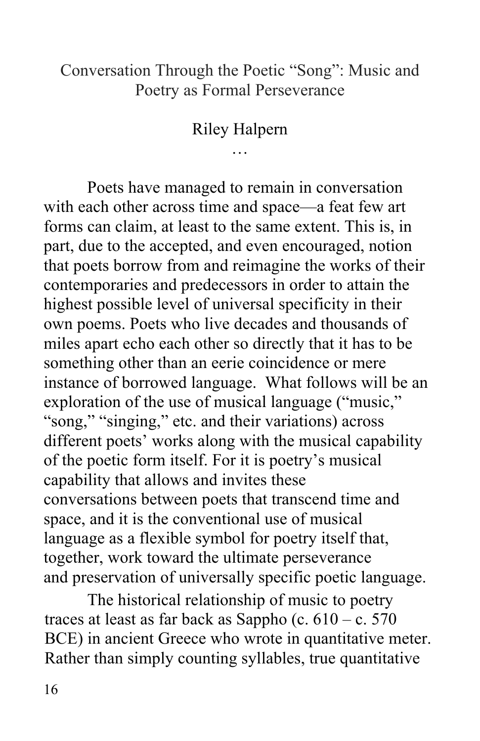#### Conversation Through the Poetic "Song": Music and Poetry as Formal Perseverance

#### Riley Halpern …

 Poets have managed to remain in conversation with each other across time and space—a feat few art forms can claim, at least to the same extent. This is, in part, due to the accepted, and even encouraged, notion contemporaries and predecessors in order to attain the highest possible level of universal specificity in their miles apart echo each other so directly that it has to be something other than an eerie coincidence or mere instance of borrowed language. What follows will be an "song," "singing," etc. and their variations) across different poets' works along with the musical capability of the poetic form itself. For it is poetry's musical capability that allows and invites these conversations between poets that transcend time and space, and it is the conventional use of musical language as a flexible symbol for poetry itself that, and preservation of universally specific poetic language. that poets borrow from and reimagine the works of their own poems. Poets who live decades and thousands of exploration of the use of musical language ("music," together, work toward the ultimate perseverance

 The historical relationship of music to poetry traces at least as far back as Sappho (c.  $610 - c$ . 570 BCE) in ancient Greece who wrote in quantitative meter. Rather than simply counting syllables, true quantitative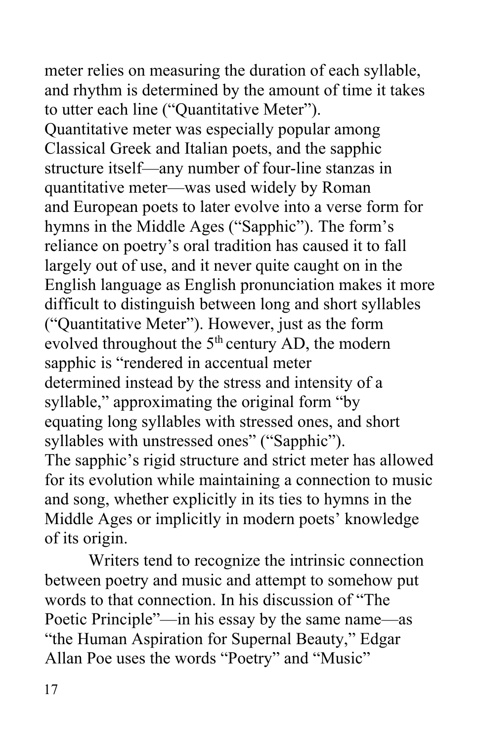meter relies on measuring the duration of each syllable, and rhythm is determined by the amount of time it takes to utter each line ("Quantitative Meter"). Quantitative meter was especially popular among Classical Greek and Italian poets, and the sapphic structure itself—any number of four-line stanzas in quantitative meter—was used widely by Roman and European poets to later evolve into a verse form for hymns in the Middle Ages ("Sapphic"). The form's reliance on poetry's oral tradition has caused it to fall largely out of use, and it never quite caught on in the English language as English pronunciation makes it more difficult to distinguish between long and short syllables ("Quantitative Meter"). However, just as the form evolved throughout the  $5<sup>th</sup>$  century AD, the modern sapphic is "rendered in accentual meter syllable," approximating the original form "by syllables with unstressed ones" ("Sapphic"). The sapphic's rigid structure and strict meter has allowed for its evolution while maintaining a connection to music and song, whether explicitly in its ties to hymns in the Middle Ages or implicitly in modern poets' knowledge of its origin. determined instead by the stress and intensity of a equating long syllables with stressed ones, and short

 between poetry and music and attempt to somehow put words to that connection. In his discussion of "The Poetic Principle"—in his essay by the same name—as "the Human Aspiration for Supernal Beauty," Edgar Allan Poe uses the words "Poetry" and "Music" Writers tend to recognize the intrinsic connection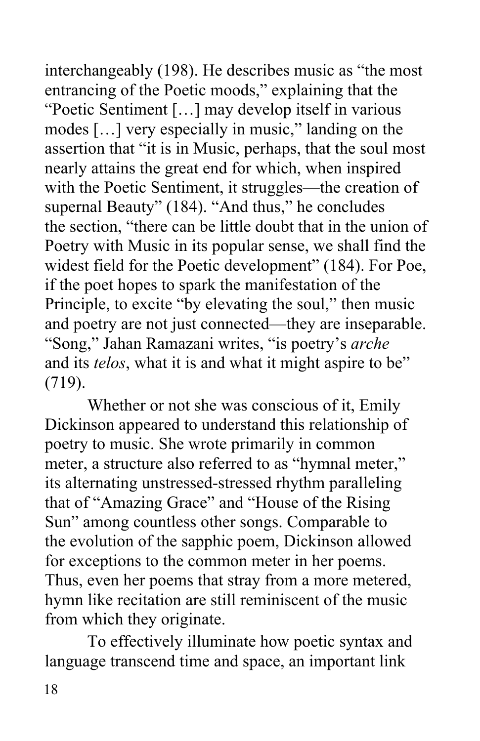entrancing of the Poetic moods," explaining that the "Poetic Sentiment […] may develop itself in various modes […] very especially in music," landing on the nearly attains the great end for which, when inspired with the Poetic Sentiment, it struggles—the creation of supernal Beauty" (184). "And thus," he concludes the section, "there can be little doubt that in the union of Poetry with Music in its popular sense, we shall find the widest field for the Poetic development" (184). For Poe, if the poet hopes to spark the manifestation of the Principle, to excite "by elevating the soul," then music and poetry are not just connected—they are inseparable. "Song," Jahan Ramazani writes, "is poetry's *arche*  and its *telos*, what it is and what it might aspire to be"  $(719).$ interchangeably (198). He describes music as "the most assertion that "it is in Music, perhaps, that the soul most

 (719). Whether or not she was conscious of it, Emily Dickinson appeared to understand this relationship of poetry to music. She wrote primarily in common meter, a structure also referred to as "hymnal meter," its alternating unstressed-stressed rhythm paralleling that of "Amazing Grace" and "House of the Rising Sun" among countless other songs. Comparable to the evolution of the sapphic poem, Dickinson allowed for exceptions to the common meter in her poems. Thus, even her poems that stray from a more metered, hymn like recitation are still reminiscent of the music from which they originate.

 To effectively illuminate how poetic syntax and language transcend time and space, an important link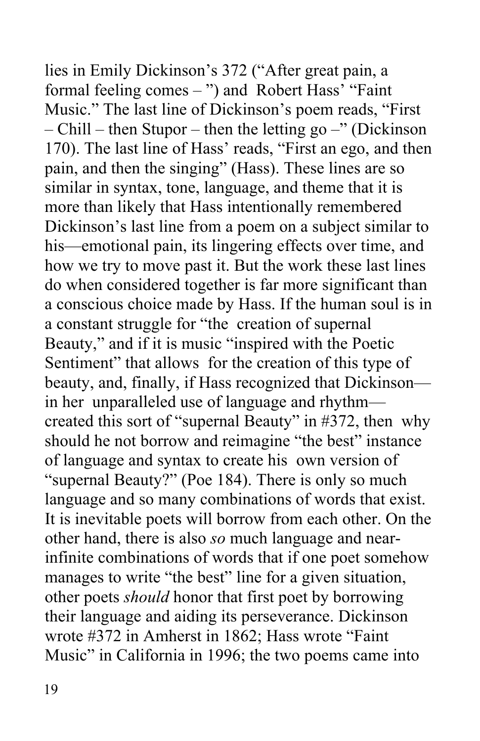formal feeling comes – ") and Robert Hass' "Faint Music." The last line of Dickinson's poem reads, "First – Chill – then Stupor – then the letting go –" (Dickinson 170). The last line of Hass' reads, "First an ego, and then pain, and then the singing" (Hass). These lines are so similar in syntax, tone, language, and theme that it is more than likely that Hass intentionally remembered Dickinson's last line from a poem on a subject similar to his—emotional pain, its lingering effects over time, and how we try to move past it. But the work these last lines do when considered together is far more significant than a conscious choice made by Hass. If the human soul is in a constant struggle for "the creation of supernal Beauty," and if it is music "inspired with the Poetic Sentiment" that allows for the creation of this type of beauty, and, finally, if Hass recognized that Dickinson— in her unparalleled use of language and rhythm— created this sort of "supernal Beauty" in #372, then why should he not borrow and reimagine "the best" instance of language and syntax to create his own version of "supernal Beauty?" (Poe 184). There is only so much language and so many combinations of words that exist. It is inevitable poets will borrow from each other. On the other hand, there is also *so* much language and near- manages to write "the best" line for a given situation, other poets *should* honor that first poet by borrowing wrote #372 in Amherst in 1862; Hass wrote "Faint Music" in California in 1996; the two poems came into lies in Emily Dickinson's 372 ("After great pain, a infinite combinations of words that if one poet somehow their language and aiding its perseverance. Dickinson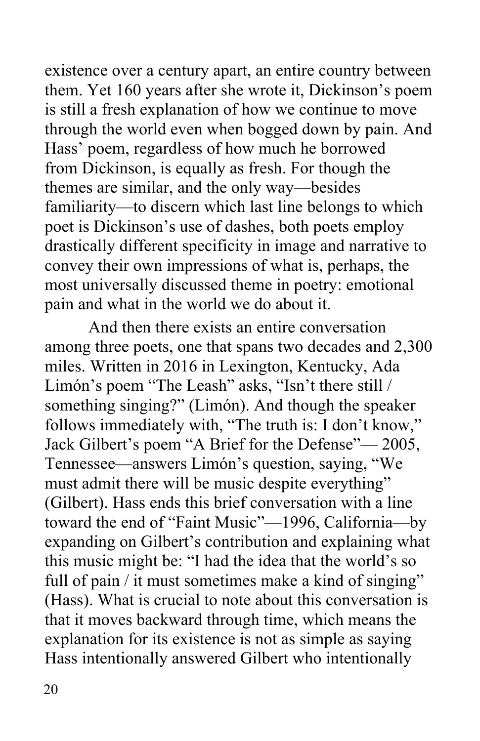existence over a century apart, an entire country between through the world even when bogged down by pain. And Hass' poem, regardless of how much he borrowed poet is Dickinson's use of dashes, both poets employ convey their own impressions of what is, perhaps, the most universally discussed theme in poetry: emotional pain and what in the world we do about it. them. Yet 160 years after she wrote it, Dickinson's poem is still a fresh explanation of how we continue to move from Dickinson, is equally as fresh. For though the themes are similar, and the only way—besides familiarity—to discern which last line belongs to which drastically different specificity in image and narrative to

 And then there exists an entire conversation among three poets, one that spans two decades and 2,300 miles. Written in 2016 in Lexington, Kentucky, Ada Limón's poem "The Leash" asks, "Isn't there still / something singing?" (Limón). And though the speaker follows immediately with, "The truth is: I don't know," Jack Gilbert's poem "A Brief for the Defense"— 2005, Tennessee—answers Limón's question, saying, "We must admit there will be music despite everything" (Gilbert). Hass ends this brief conversation with a line this music might be: "I had the idea that the world's so full of pain / it must sometimes make a kind of singing" (Hass). What is crucial to note about this conversation is that it moves backward through time, which means the explanation for its existence is not as simple as saying Hass intentionally answered Gilbert who intentionally toward the end of "Faint Music"—1996, California—by expanding on Gilbert's contribution and explaining what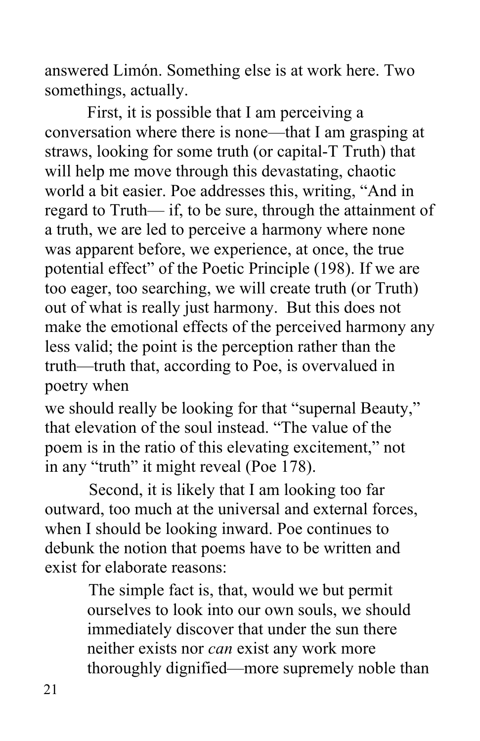answered Limón. Something else is at work here. Two somethings, actually.

somethings, actually.<br>First, it is possible that I am perceiving a conversation where there is none—that I am grasping at straws, looking for some truth (or capital-T Truth) that will help me move through this devastating, chaotic world a bit easier. Poe addresses this, writing, "And in regard to Truth— if, to be sure, through the attainment of a truth, we are led to perceive a harmony where none was apparent before, we experience, at once, the true potential effect" of the Poetic Principle (198). If we are out of what is really just harmony. But this does not make the emotional effects of the perceived harmony any less valid; the point is the perception rather than the poetry when too eager, too searching, we will create truth (or Truth) truth—truth that, according to Poe, is overvalued in

poetry when<br>we should really be looking for that "supernal Beauty," that elevation of the soul instead. "The value of the poem is in the ratio of this elevating excitement," not

 in any "truth" it might reveal (Poe 178). Second, it is likely that I am looking too far outward, too much at the universal and external forces, when I should be looking inward. Poe continues to debunk the notion that poems have to be written and exist for elaborate reasons:

> The simple fact is, that, would we but permit ourselves to look into our own souls, we should neither exists nor *can* exist any work more thoroughly dignified—more supremely noble than immediately discover that under the sun there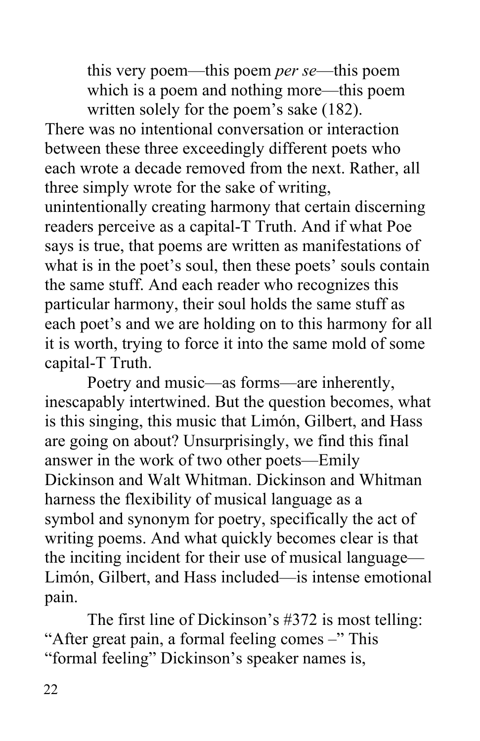which is a poem and nothing more—this poem written solely for the poem's sake (182). this very poem—this poem *per se*—this poem

 There was no intentional conversation or interaction between these three exceedingly different poets who each wrote a decade removed from the next. Rather, all three simply wrote for the sake of writing, readers perceive as a capital-T Truth. And if what Poe says is true, that poems are written as manifestations of what is in the poet's soul, then these poets' souls contain particular harmony, their soul holds the same stuff as each poet's and we are holding on to this harmony for all capital-T Truth. unintentionally creating harmony that certain discerning the same stuff. And each reader who recognizes this it is worth, trying to force it into the same mold of some

 is this singing, this music that Limón, Gilbert, and Hass are going on about? Unsurprisingly, we find this final answer in the work of two other poets—Emily Dickinson and Walt Whitman. Dickinson and Whitman harness the flexibility of musical language as a symbol and synonym for poetry, specifically the act of writing poems. And what quickly becomes clear is that Limón, Gilbert, and Hass included—is intense emotional pain. Poetry and music—as forms—are inherently, inescapably intertwined. But the question becomes, what the inciting incident for their use of musical language—

 pain. The first line of Dickinson's #372 is most telling: "After great pain, a formal feeling comes -" This "formal feeling" Dickinson's speaker names is,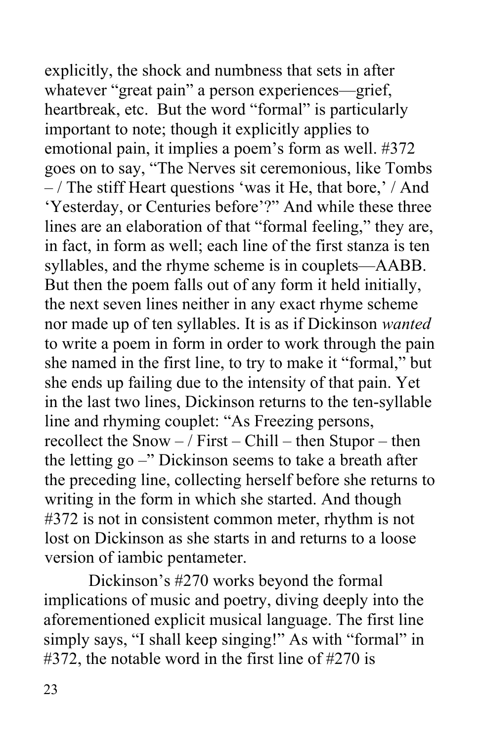explicitly, the shock and numbness that sets in after whatever "great pain" a person experiences—grief, heartbreak, etc. But the word "formal" is particularly goes on to say, "The Nerves sit ceremonious, like Tombs 'Yesterday, or Centuries before'?" And while these three in fact, in form as well; each line of the first stanza is ten syllables, and the rhyme scheme is in couplets—AABB. But then the poem falls out of any form it held initially, the next seven lines neither in any exact rhyme scheme nor made up of ten syllables. It is as if Dickinson *wanted*  to write a poem in form in order to work through the pain she named in the first line, to try to make it "formal," but she ends up failing due to the intensity of that pain. Yet in the last two lines, Dickinson returns to the ten-syllable recollect the Snow – / First – Chill – then Stupor – then the letting go –" Dickinson seems to take a breath after writing in the form in which she started. And though #372 is not in consistent common meter, rhythm is not lost on Dickinson as she starts in and returns to a loose version of iambic pentameter. important to note; though it explicitly applies to emotional pain, it implies a poem's form as well. #372  $-$  / The stiff Heart questions 'was it He, that bore,'  $/$  And lines are an elaboration of that "formal feeling," they are, line and rhyming couplet: "As Freezing persons, the preceding line, collecting herself before she returns to

 Dickinson's #270 works beyond the formal implications of music and poetry, diving deeply into the aforementioned explicit musical language. The first line simply says, "I shall keep singing!" As with "formal" in #372, the notable word in the first line of #270 is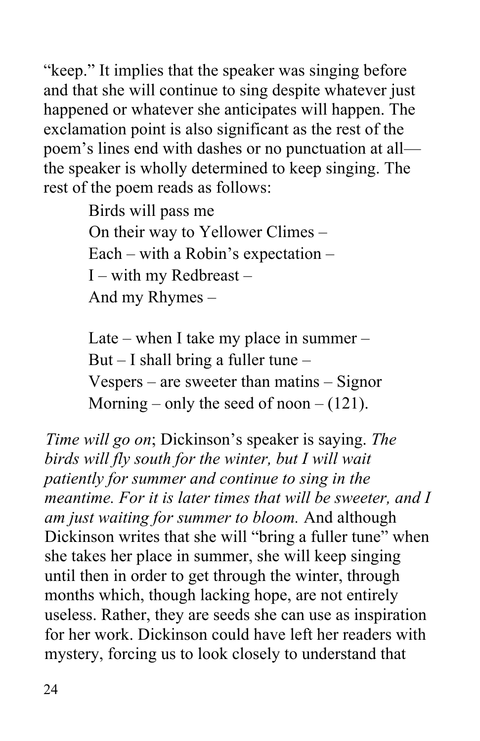"keep." It implies that the speaker was singing before and that she will continue to sing despite whatever just happened or whatever she anticipates will happen. The exclamation point is also significant as the rest of the poem's lines end with dashes or no punctuation at all— the speaker is wholly determined to keep singing. The rest of the poem reads as follows:

> Birds will pass me On their way to Yellower Climes – Each – with a Robin's expectation – I – with my Redbreast – And my Rhymes –

 Late – when I take my place in summer – But – I shall bring a fuller tune – Vespers – are sweeter than matins – Signor Morning – only the seed of noon –  $(121)$ .

 *Time will go on*; Dickinson's speaker is saying. *The birds will fly south for the winter, but I will wait patiently for summer and continue to sing in the meantime. For it is later times that will be sweeter, and I am just waiting for summer to bloom.* And although Dickinson writes that she will "bring a fuller tune" when she takes her place in summer, she will keep singing months which, though lacking hope, are not entirely for her work. Dickinson could have left her readers with mystery, forcing us to look closely to understand that until then in order to get through the winter, through useless. Rather, they are seeds she can use as inspiration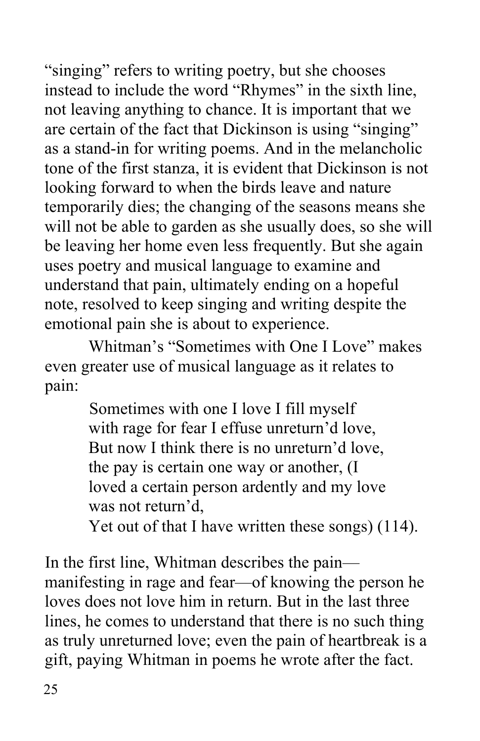not leaving anything to chance. It is important that we are certain of the fact that Dickinson is using "singing" will not be able to garden as she usually does, so she will be leaving her home even less frequently. But she again uses poetry and musical language to examine and understand that pain, ultimately ending on a hopeful note, resolved to keep singing and writing despite the emotional pain she is about to experience. "singing" refers to writing poetry, but she chooses instead to include the word "Rhymes" in the sixth line, as a stand-in for writing poems. And in the melancholic tone of the first stanza, it is evident that Dickinson is not looking forward to when the birds leave and nature temporarily dies; the changing of the seasons means she

 Whitman's "Sometimes with One I Love" makes even greater use of musical language as it relates to pain: pain: Sometimes with one I love I fill myself

 with rage for fear I effuse unreturn'd love, But now I think there is no unreturn'd love, was not return'd, the pay is certain one way or another, (I loved a certain person ardently and my love

Yet out of that I have written these songs) (114).

 In the first line, Whitman describes the pain— manifesting in rage and fear—of knowing the person he lines, he comes to understand that there is no such thing as truly unreturned love; even the pain of heartbreak is a loves does not love him in return. But in the last three gift, paying Whitman in poems he wrote after the fact.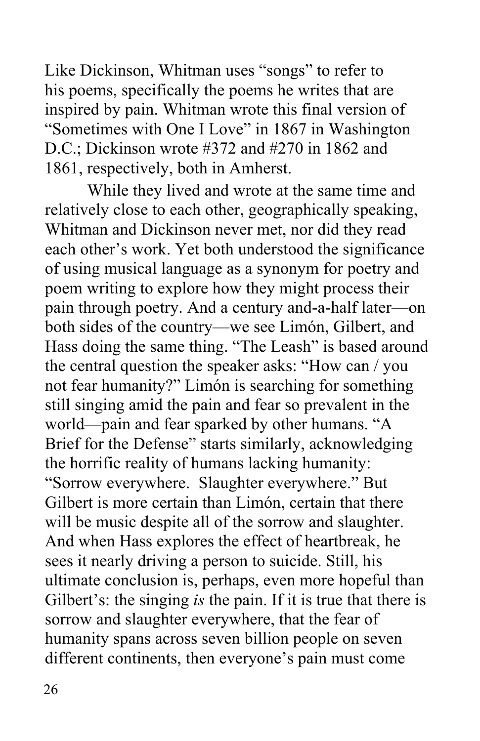Like Dickinson, Whitman uses "songs" to refer to inspired by pain. Whitman wrote this final version of "Sometimes with One I Love" in 1867 in Washington D.C.; Dickinson wrote #372 and #270 in 1862 and 1861, respectively, both in Amherst. 1861, respectively, both in Amherst. While they lived and wrote at the same time and his poems, specifically the poems he writes that are

 relatively close to each other, geographically speaking, Whitman and Dickinson never met, nor did they read of using musical language as a synonym for poetry and poem writing to explore how they might process their pain through poetry. And a century and-a-half later—on both sides of the country—we see Limón, Gilbert, and Hass doing the same thing. "The Leash" is based around not fear humanity?" Limón is searching for something still singing amid the pain and fear so prevalent in the world—pain and fear sparked by other humans. "A Brief for the Defense" starts similarly, acknowledging "Sorrow everywhere. Slaughter everywhere." But Gilbert is more certain than Limón, certain that there will be music despite all of the sorrow and slaughter. And when Hass explores the effect of heartbreak, he sees it nearly driving a person to suicide. Still, his ultimate conclusion is, perhaps, even more hopeful than Gilbert's: the singing *is* the pain. If it is true that there is sorrow and slaughter everywhere, that the fear of humanity spans across seven billion people on seven different continents, then everyone's pain must come each other's work. Yet both understood the significance the central question the speaker asks: "How can / you the horrific reality of humans lacking humanity: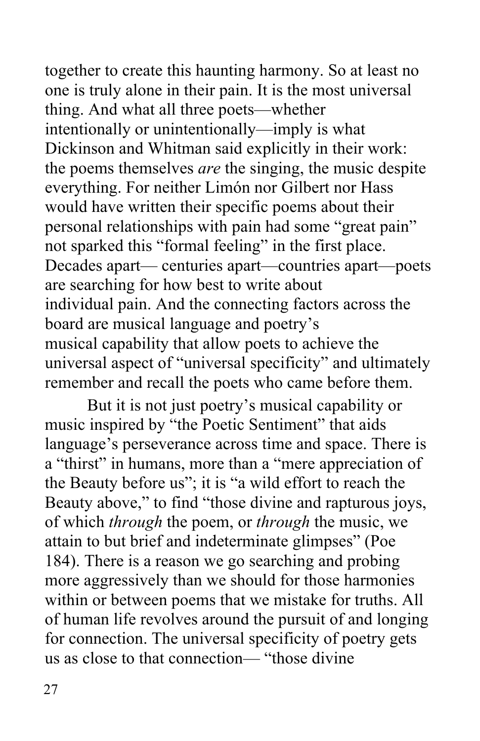one is truly alone in their pain. It is the most universal intentionally or unintentionally—imply is what Dickinson and Whitman said explicitly in their work: everything. For neither Limón nor Gilbert nor Hass would have written their specific poems about their not sparked this "formal feeling" in the first place. are searching for how best to write about board are musical language and poetry's musical capability that allow poets to achieve the universal aspect of "universal specificity" and ultimately remember and recall the poets who came before them. together to create this haunting harmony. So at least no thing. And what all three poets—whether the poems themselves *are* the singing, the music despite personal relationships with pain had some "great pain" Decades apart— centuries apart—countries apart—poets individual pain. And the connecting factors across the

 But it is not just poetry's musical capability or music inspired by "the Poetic Sentiment" that aids a "thirst" in humans, more than a "mere appreciation of Beauty above," to find "those divine and rapturous joys, of which *through* the poem, or *through* the music, we attain to but brief and indeterminate glimpses" (Poe 184). There is a reason we go searching and probing more aggressively than we should for those harmonies within or between poems that we mistake for truths. All of human life revolves around the pursuit of and longing for connection. The universal specificity of poetry gets us as close to that connection— "those divine language's perseverance across time and space. There is the Beauty before us"; it is "a wild effort to reach the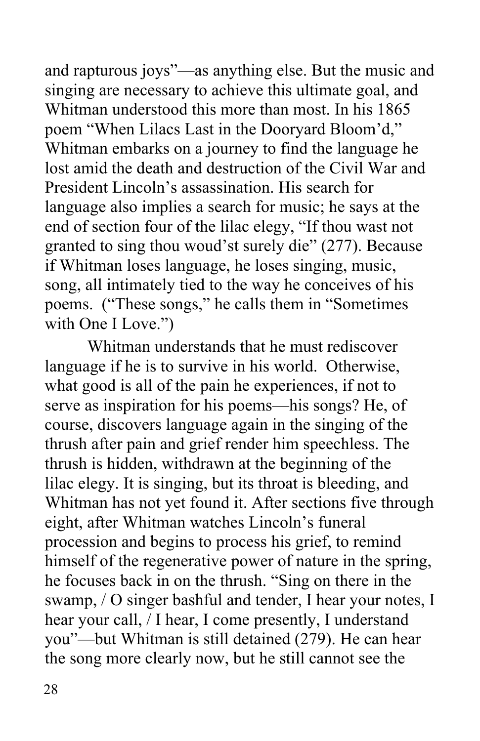and rapturous joys"—as anything else. But the music and singing are necessary to achieve this ultimate goal, and Whitman understood this more than most. In his 1865 poem "When Lilacs Last in the Dooryard Bloom'd," Whitman embarks on a journey to find the language he lost amid the death and destruction of the Civil War and President Lincoln's assassination. His search for end of section four of the lilac elegy, "If thou wast not granted to sing thou woud'st surely die" (277). Because song, all intimately tied to the way he conceives of his poems. ("These songs," he calls them in "Sometimes with One I Love.") language also implies a search for music; he says at the if Whitman loses language, he loses singing, music,

 Whitman understands that he must rediscover language if he is to survive in his world. Otherwise, what good is all of the pain he experiences, if not to serve as inspiration for his poems—his songs? He, of course, discovers language again in the singing of the thrush after pain and grief render him speechless. The lilac elegy. It is singing, but its throat is bleeding, and Whitman has not yet found it. After sections five through eight, after Whitman watches Lincoln's funeral procession and begins to process his grief, to remind himself of the regenerative power of nature in the spring, he focuses back in on the thrush. "Sing on there in the swamp, / O singer bashful and tender, I hear your notes, I hear your call, / I hear, I come presently, I understand you"—but Whitman is still detained (279). He can hear thrush is hidden, withdrawn at the beginning of the the song more clearly now, but he still cannot see the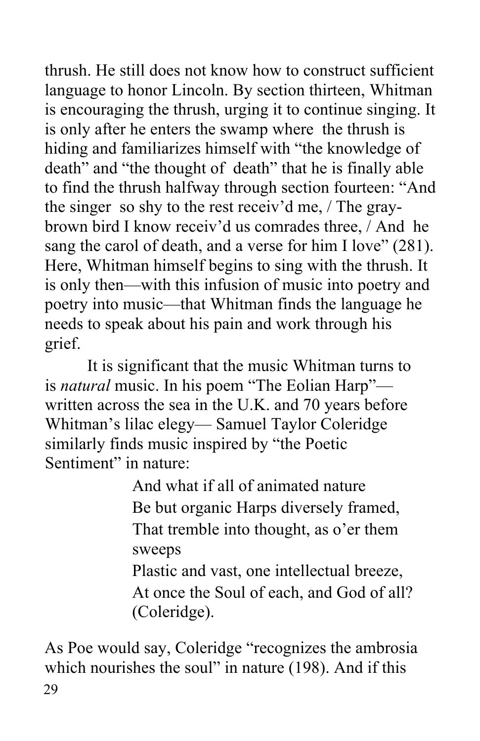thrush. He still does not know how to construct sufficient is encouraging the thrush, urging it to continue singing. It is only after he enters the swamp where the thrush is hiding and familiarizes himself with "the knowledge of death" and "the thought of death" that he is finally able the singer so shy to the rest receiv'd me, / The gray- brown bird I know receiv'd us comrades three, / And he sang the carol of death, and a verse for him I love" (281). Here, Whitman himself begins to sing with the thrush. It is only then—with this infusion of music into poetry and needs to speak about his pain and work through his grief. language to honor Lincoln. By section thirteen, Whitman to find the thrush halfway through section fourteen: "And poetry into music—that Whitman finds the language he

 grief. It is significant that the music Whitman turns to is *natural* music. In his poem "The Eolian Harp"— written across the sea in the U.K. and 70 years before Whitman's lilac elegy— Samuel Taylor Coleridge Sentiment" in nature:<br>And what if all of animated nature similarly finds music inspired by "the Poetic

 Be but organic Harps diversely framed, That tremble into thought, as o'er them sweeps sweeps<br>Plastic and vast, one intellectual breeze,

 At once the Soul of each, and God of all? (Coleridge).

 (Coleridge). As Poe would say, Coleridge "recognizes the ambrosia which nourishes the soul" in nature (198). And if this 29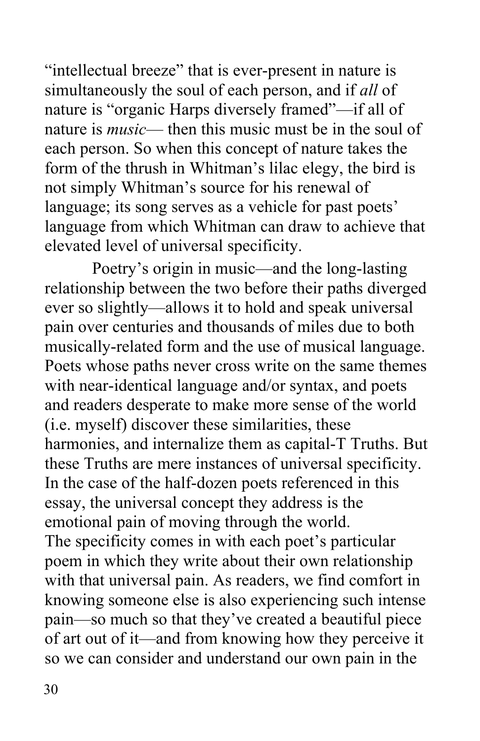"intellectual breeze" that is ever-present in nature is simultaneously the soul of each person, and if *all* of nature is "organic Harps diversely framed"—if all of nature is *music*— then this music must be in the soul of each person. So when this concept of nature takes the form of the thrush in Whitman's lilac elegy, the bird is not simply Whitman's source for his renewal of elevated level of universal specificity. language; its song serves as a vehicle for past poets' language from which Whitman can draw to achieve that

 relationship between the two before their paths diverged ever so slightly—allows it to hold and speak universal pain over centuries and thousands of miles due to both musically-related form and the use of musical language. Poets whose paths never cross write on the same themes and readers desperate to make more sense of the world harmonies, and internalize them as capital-T Truths. But In the case of the half-dozen poets referenced in this essay, the universal concept they address is the emotional pain of moving through the world. The specificity comes in with each poet's particular poem in which they write about their own relationship with that universal pain. As readers, we find comfort in knowing someone else is also experiencing such intense pain—so much so that they've created a beautiful piece of art out of it—and from knowing how they perceive it so we can consider and understand our own pain in the Poetry's origin in music—and the long-lasting with near-identical language and/or syntax, and poets (i.e. myself) discover these similarities, these these Truths are mere instances of universal specificity.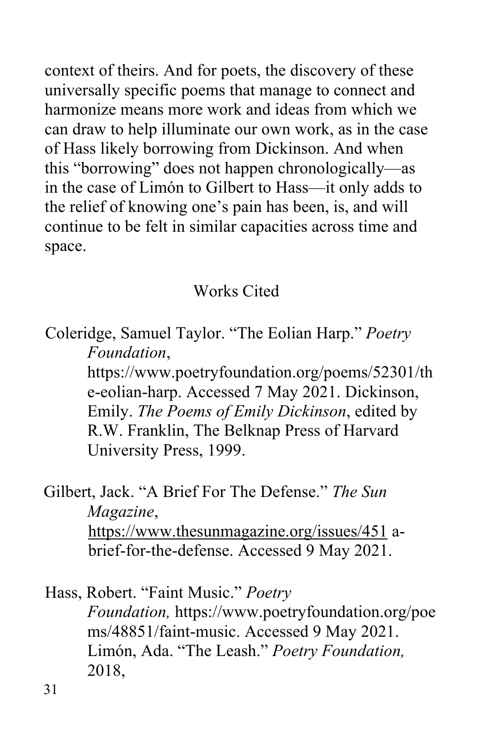context of theirs. And for poets, the discovery of these universally specific poems that manage to connect and harmonize means more work and ideas from which we can draw to help illuminate our own work, as in the case of Hass likely borrowing from Dickinson. And when this "borrowing" does not happen chronologically—as in the case of Limón to Gilbert to Hass—it only adds to the relief of knowing one's pain has been, is, and will continue to be felt in similar capacities across time and space.

### Works Cited

 Coleridge, Samuel Taylor. "The Eolian Harp." *Poetry Foundation*,

> Emily. *The Poems of Emily Dickinson*, edited by R.W. Franklin, The Belknap Press of Harvard University Press, 1999. <https://www.poetryfoundation.org/poems/52301/th> e-eolian-harp. Accessed 7 May 2021. Dickinson,

 Gilbert, Jack. "A Brief For The Defense." *The Sun*  Magazine, *Magazine*, <https://www.thesunmagazine.org/issues/451>abrief-for-the-defense. Accessed 9 May 2021.

Hass, Robert. "Faint Music." Poetry ms/48851/faint-music. Accessed 9 May 2021. Limón, Ada. "The Leash." *Poetry Foundation, Foundation,* <https://www.poetryfoundation.org/poe> 2018,